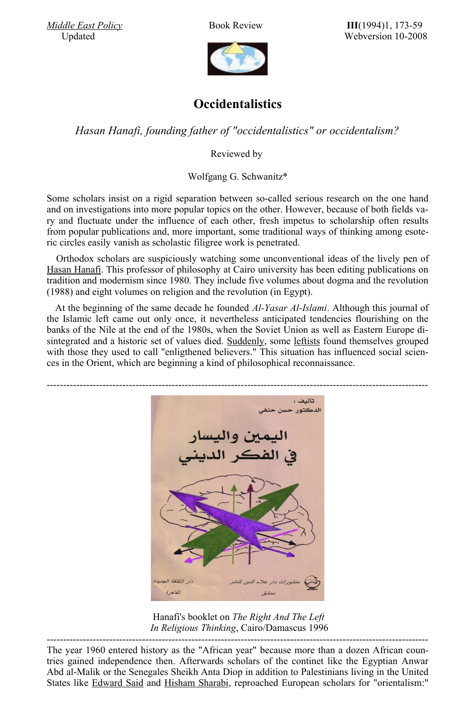



## **Occidentalistics**

*Hasan Hanafi, founding father of "occidentalistics" or occidentalism?*

Reviewed by

Wolfgang G. Schwanitz\*

Some scholars insist on a rigid separation between so-called serious research on the one hand and on investigations into more popular topics on the other. However, because of both fields vary and fluctuate under the influence of each other, fresh impetus to scholarship often results from popular publications and, more important, some traditional ways of thinking among esoteric circles easily vanish as scholastic filigree work is penetrated.

Orthodox scholars are suspiciously watching some unconventional ideas of the lively pen of Hasan [Hanafi.](http://de.wikipedia.org/wiki/Hasan_Hanafi) This professor of philosophy at Cairo university has been editing publications on tradition and modernism since 1980. They include five volumes about dogma and the revolution (1988) and eight volumes on religion and the revolution (in Egypt).

At the beginning of the same decade he founded *Al-Yasar Al-Islami*. Although this journal of the Islamic left came out only once, it nevertheless anticipated tendencies flourishing on the banks of the Nile at the end of the 1980s, when the Soviet Union as well as Eastern Europe di-sintegrated and a historic set of values died. [Suddenly,](http://www.trafoberlin.de/pdf-dateien/Arabische Perestroika Rezeption Berlin 1990.pdf) some [leftists](http://de.wikipedia.org/wiki/Islamischer_Sozialismus) found themselves grouped with those they used to call "enligthened believers." This situation has influenced social sciences in the Orient, which are beginning a kind of philosophical reconnaissance.



 Hanafi's booklet on *The Right And The Left In Religious Thinking*, Cairo/Damascus 1996

-------------------------------------------------------------------------------------------------------------------- The year 1960 entered history as the "African year" because more than a dozen African countries gained independence then. Afterwards scholars of the continet like the Egyptian Anwar Abd al-Malik or the Senegales Sheikh Anta Diop in addition to Palestinians living in the United States like [Edward](http://www.trafoberlin.de/pdf-dateien/Schwanitz_neu/Ibn Warraq Westen.pdf) Said and [Hisham](http://www.trafoberlin.de/pdf-dateien/Nachruf Hisham B Sharabi WGS.pdf) Sharabi, reproached European scholars for "orientalism:"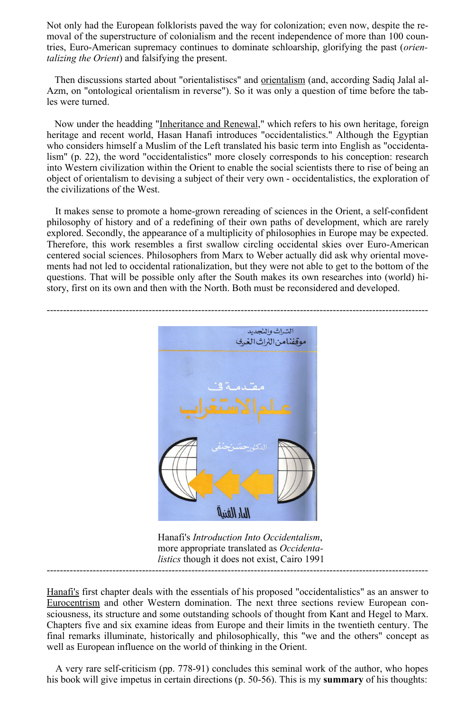Not only had the European folklorists paved the way for colonization; even now, despite the removal of the superstructure of colonialism and the recent independence of more than 100 countries, Euro-American supremacy continues to dominate schloarship, glorifying the past (*orientalizing the Orient*) and falsifying the present.

Then discussions started about "orientalistiscs" and **[orientalism](http://www.trafoberlin.de/pdf-dateien/Zachary Lockman Orientalism.pdf)** (and, according Sadiq Jalal al-Azm, on "ontological orientalism in reverse"). So it was only a question of time before the tables were turned.

Now under the headding ["Inheritance](http://www.highbeam.com/doc/1P3-974861401.html) and Renewal," which refers to his own heritage, foreign heritage and recent world, Hasan Hanafi introduces "occidentalistics." Although the Egyptian who considers himself a Muslim of the Left translated his basic term into English as "occidentalism" (p. 22), the word "occidentalistics" more closely corresponds to his conception: research into Western civilization within the Orient to enable the social scientists there to rise of being an object of orientalism to devising a subject of their very own - occidentalistics, the exploration of the civilizations of the West.

It makes sense to promote a home-grown rereading of sciences in the Orient, a self-confident philosophy of history and of a redefining of their own paths of development, which are rarely explored. Secondly, the appearance of a multiplicity of philosophies in Europe may be expected. Therefore, this work resembles a first swallow circling occidental skies over Euro-American centered social sciences. Philosophers from Marx to Weber actually did ask why oriental movements had not led to occidental rationalization, but they were not able to get to the bottom of the questions. That will be possible only after the South makes its own researches into (world) history, first on its own and then with the North. Both must be reconsidered and developed.



 Hanafi's *Introduction Into Occidentalism*, more appropriate translated as *Occidenta listics* though it does not exist, Cairo 1991 --------------------------------------------------------------------------------------------------------------------

[Hanafi's](http://en.wikipedia.org/wiki/Hassan_Hanafi) first chapter deals with the essentials of his proposed "occidentalistics" as an answer to [Eurocentrism](http://www.trafoberlin.de/pdf-dateien/Schwanitz_neu/August Bebel Mittelost.pdf) and other Western domination. The next three sections review European consciousness, its structure and some outstanding schools of thought from Kant and Hegel to Marx. Chapters five and six examine ideas from Europe and their limits in the twentieth century. The final remarks illuminate, historically and philosophically, this "we and the others" concept as well as European influence on the world of thinking in the Orient.

A very rare self-criticism (pp. 778-91) concludes this seminal work of the author, who hopes his book will give impetus in certain directions (p. 50-56). This is my **summary** of his thoughts: